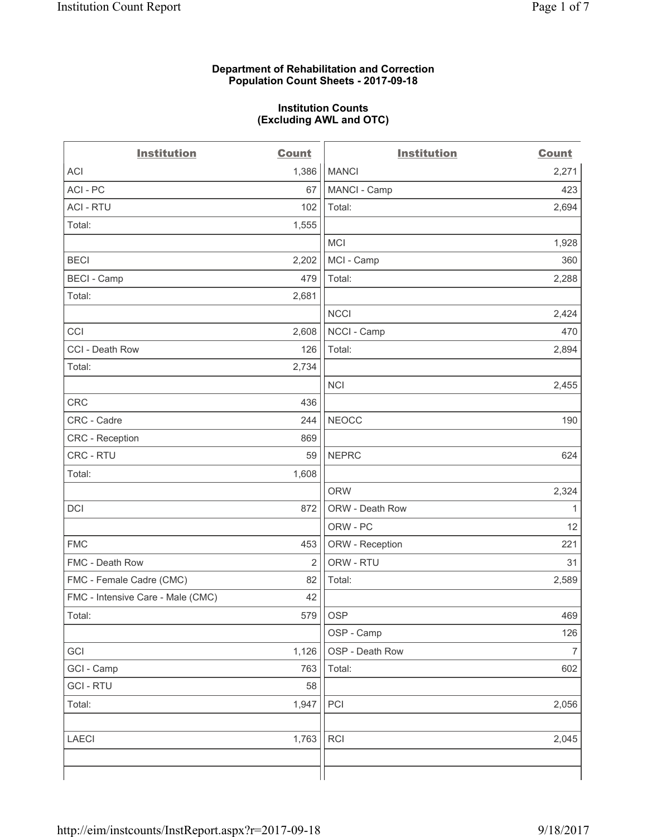#### **Department of Rehabilitation and Correction Population Count Sheets - 2017-09-18**

#### **Institution Counts (Excluding AWL and OTC)**

| <b>Institution</b>                | <b>Count</b>   | <b>Institution</b> | <b>Count</b>   |
|-----------------------------------|----------------|--------------------|----------------|
| ACI                               | 1,386          | <b>MANCI</b>       | 2,271          |
| ACI - PC                          | 67             | MANCI - Camp       | 423            |
| <b>ACI - RTU</b>                  | 102            | Total:             | 2,694          |
| Total:                            | 1,555          |                    |                |
|                                   |                | MCI                | 1,928          |
| <b>BECI</b>                       | 2,202          | MCI - Camp         | 360            |
| <b>BECI - Camp</b>                | 479            | Total:             | 2,288          |
| Total:                            | 2,681          |                    |                |
|                                   |                | <b>NCCI</b>        | 2,424          |
| CCI                               | 2,608          | NCCI - Camp        | 470            |
| CCI - Death Row                   | 126            | Total:             | 2,894          |
| Total:                            | 2,734          |                    |                |
|                                   |                | <b>NCI</b>         | 2,455          |
| <b>CRC</b>                        | 436            |                    |                |
| CRC - Cadre                       | 244            | <b>NEOCC</b>       | 190            |
| CRC - Reception                   | 869            |                    |                |
| CRC - RTU                         | 59             | <b>NEPRC</b>       | 624            |
| Total:                            | 1,608          |                    |                |
|                                   |                | <b>ORW</b>         | 2,324          |
| DCI                               | 872            | ORW - Death Row    | 1              |
|                                   |                | ORW - PC           | 12             |
| <b>FMC</b>                        | 453            | ORW - Reception    | 221            |
| FMC - Death Row                   | $\overline{2}$ | ORW - RTU          | 31             |
| FMC - Female Cadre (CMC)          | 82             | Total:             | 2,589          |
| FMC - Intensive Care - Male (CMC) | 42             |                    |                |
| Total:                            | 579            | <b>OSP</b>         | 469            |
|                                   |                | OSP - Camp         | 126            |
| GCI                               | 1,126          | OSP - Death Row    | $\overline{7}$ |
| GCI - Camp                        | 763            | Total:             | 602            |
| <b>GCI - RTU</b>                  | 58             |                    |                |
| Total:                            | 1,947          | PCI                | 2,056          |
| <b>LAECI</b>                      | 1,763          | RCI                | 2,045          |
|                                   |                |                    |                |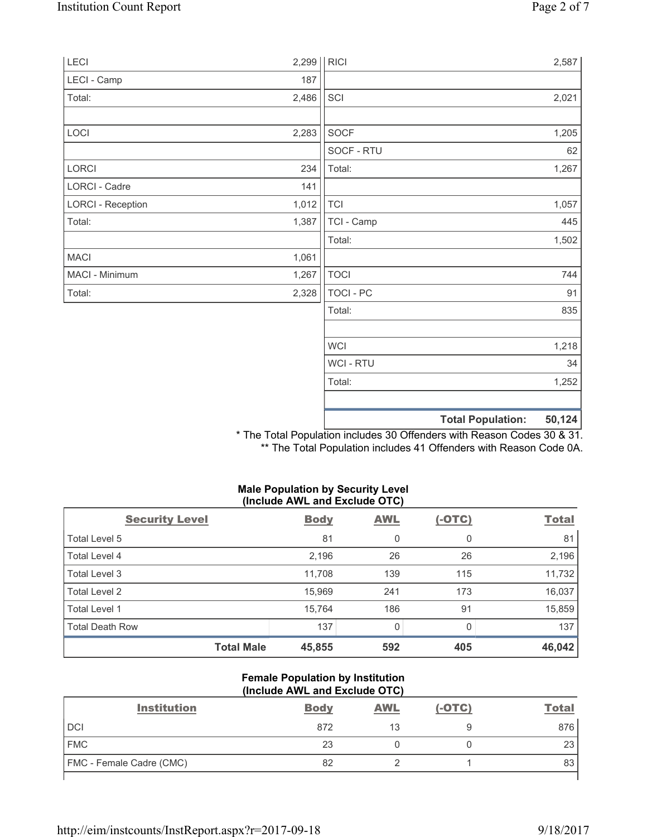| LECI                     | 2,299 | RICI             |                          | 2,587  |
|--------------------------|-------|------------------|--------------------------|--------|
| LECI - Camp              | 187   |                  |                          |        |
| Total:                   | 2,486 | SCI              |                          | 2,021  |
|                          |       |                  |                          |        |
| LOCI                     | 2,283 | SOCF             |                          | 1,205  |
|                          |       | SOCF - RTU       |                          | 62     |
| LORCI                    | 234   | Total:           |                          | 1,267  |
| LORCI - Cadre            | 141   |                  |                          |        |
| <b>LORCI - Reception</b> | 1,012 | <b>TCI</b>       |                          | 1,057  |
| Total:                   | 1,387 | TCI - Camp       |                          | 445    |
|                          |       | Total:           |                          | 1,502  |
| <b>MACI</b>              | 1,061 |                  |                          |        |
| MACI - Minimum           | 1,267 | <b>TOCI</b>      |                          | 744    |
| Total:                   | 2,328 | TOCI - PC        |                          | 91     |
|                          |       | Total:           |                          | 835    |
|                          |       | <b>WCI</b>       |                          | 1,218  |
|                          |       | <b>WCI - RTU</b> |                          | 34     |
|                          |       | Total:           |                          | 1,252  |
|                          |       |                  |                          |        |
|                          |       |                  |                          |        |
|                          |       |                  | <b>Total Population:</b> | 50,124 |

\* The Total Population includes 30 Offenders with Reason Codes 30 & 31. \*\* The Total Population includes 41 Offenders with Reason Code 0A.

### **Male Population by Security Level (Include AWL and Exclude OTC)**

| <b>Security Level</b>  | <b>Body</b> | <b>AWL</b> | $(-OTC)$ | <b>Total</b> |
|------------------------|-------------|------------|----------|--------------|
| Total Level 5          | 81          | 0          | 0        | 81           |
| Total Level 4          | 2,196       | 26         | 26       | 2,196        |
| Total Level 3          | 11,708      | 139        | 115      | 11,732       |
| Total Level 2          | 15,969      | 241        | 173      | 16,037       |
| Total Level 1          | 15,764      | 186        | 91       | 15,859       |
| <b>Total Death Row</b> | 137         | 0          |          | 137          |
| <b>Total Male</b>      | 45,855      | 592        | 405      | 46,042       |

#### **Female Population by Institution (Include AWL and Exclude OTC)**

| <b>Institution</b>              | <b>Body</b> | <b>AWL</b> | $(-OTC)$ | <b>Total</b> |
|---------------------------------|-------------|------------|----------|--------------|
| <b>DCI</b>                      | 872         | 13         |          | 876          |
| <b>FMC</b>                      | 23          |            |          | 23           |
| <b>FMC</b> - Female Cadre (CMC) | 82          |            |          | 83           |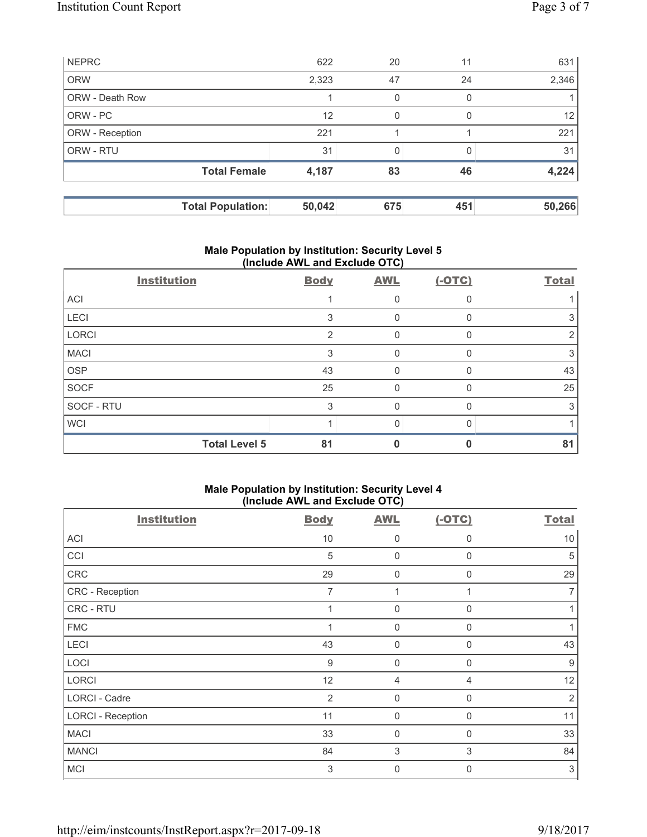| <b>NEPRC</b>           |                          | 622    | 20       | 11       | 631    |
|------------------------|--------------------------|--------|----------|----------|--------|
| <b>ORW</b>             |                          | 2,323  | 47       | 24       | 2,346  |
| <b>ORW - Death Row</b> |                          |        | $\Omega$ | 0        |        |
| ORW - PC               |                          | 12     | 0        | $\Omega$ | 12     |
| ORW - Reception        |                          | 221    |          |          | 221    |
| ORW - RTU              |                          | 31     |          |          | 31     |
|                        | <b>Total Female</b>      | 4,187  | 83       | 46       | 4,224  |
|                        |                          |        |          |          |        |
|                        | <b>Total Population:</b> | 50,042 | 675      | 451      | 50,266 |

## **Male Population by Institution: Security Level 5 (Include AWL and Exclude OTC)**

| <b>Institution</b>   | <b>Body</b>    | <b>AWL</b> | $(-OTC)$     | <b>Total</b> |
|----------------------|----------------|------------|--------------|--------------|
| <b>ACI</b>           |                |            |              |              |
| LECI                 | 3              | O          |              |              |
| LORCI                | $\mathfrak{p}$ | $\Omega$   | <sup>0</sup> |              |
| <b>MACI</b>          | 3              | 0          |              | 3            |
| <b>OSP</b>           | 43             | 0          |              | 43           |
| SOCF                 | 25             | 0          |              | 25           |
| SOCF - RTU           | 3              | O          |              |              |
| <b>WCI</b>           |                | ∩          |              |              |
| <b>Total Level 5</b> | 81             |            |              | 81           |

## **Male Population by Institution: Security Level 4 (Include AWL and Exclude OTC)**

| <b>Institution</b>       | <b>Body</b>      | <b>AWL</b>  | $(-OTC)$       | <b>Total</b>   |
|--------------------------|------------------|-------------|----------------|----------------|
| <b>ACI</b>               | 10               | 0           | $\mathbf 0$    | 10             |
| CCI                      | $\sqrt{5}$       | 0           | $\mathbf 0$    | 5              |
| CRC                      | 29               | $\mathbf 0$ | $\Omega$       | 29             |
| CRC - Reception          | 7                |             |                |                |
| CRC - RTU                | 1                | $\mathbf 0$ | $\mathbf 0$    |                |
| <b>FMC</b>               |                  | 0           | $\Omega$       |                |
| LECI                     | 43               | $\mathbf 0$ | $\Omega$       | 43             |
| LOCI                     | $\boldsymbol{9}$ | $\mathbf 0$ | $\Omega$       | 9              |
| <b>LORCI</b>             | 12               | 4           | $\overline{4}$ | 12             |
| LORCI - Cadre            | $\overline{2}$   | $\mathbf 0$ | $\Omega$       | $\overline{2}$ |
| <b>LORCI - Reception</b> | 11               | $\mathbf 0$ | $\mathbf 0$    | 11             |
| <b>MACI</b>              | 33               | 0           | $\Omega$       | 33             |
| <b>MANCI</b>             | 84               | 3           | 3              | 84             |
| <b>MCI</b>               | 3                | 0           | $\Omega$       | $\mathfrak{S}$ |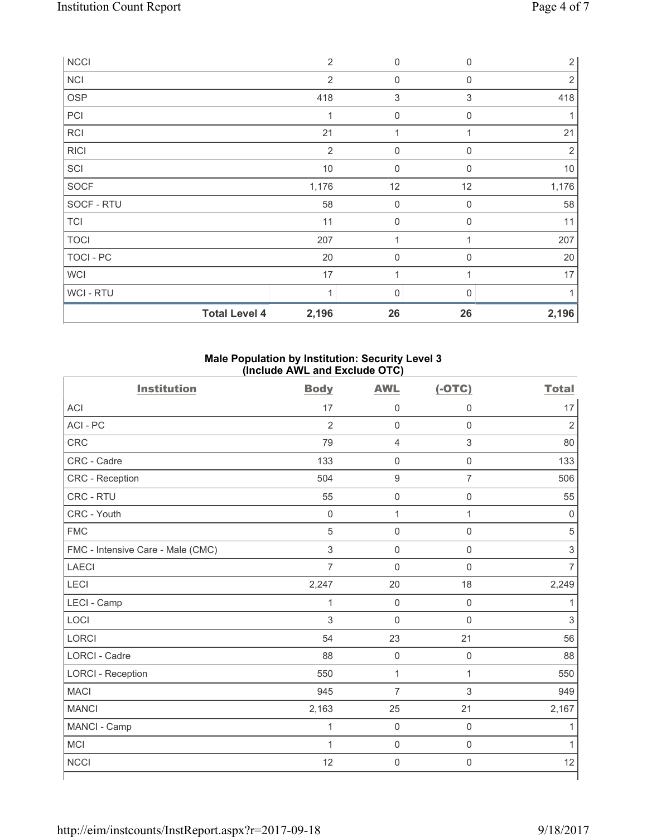| <b>NCCI</b>          | $\overline{2}$ | 0                   | $\mathbf{0}$ | $\sqrt{2}$     |
|----------------------|----------------|---------------------|--------------|----------------|
| <b>NCI</b>           | $\overline{2}$ | $\mathbf 0$         | $\mathbf 0$  | 2              |
| <b>OSP</b>           | 418            | 3                   | $\sqrt{3}$   | 418            |
| PCI                  | 1              | $\mathbf 0$         | $\mathbf 0$  | 1              |
| <b>RCI</b>           | 21             | 4                   |              | 21             |
| <b>RICI</b>          | $\overline{2}$ | $\mathbf 0$         | $\mathbf 0$  | $\overline{2}$ |
| SCI                  | $10$           | $\mathsf 0$         | $\Omega$     | $10$           |
| SOCF                 | 1,176          | 12                  | 12           | 1,176          |
| SOCF - RTU           | 58             | $\mathsf 0$         | $\mathbf 0$  | 58             |
| <b>TCI</b>           | 11             | $\mathsf{O}\xspace$ | $\mathbf 0$  | 11             |
| <b>TOCI</b>          | 207            | 1                   |              | 207            |
| TOCI - PC            | 20             | $\mathbf 0$         | $\Omega$     | 20             |
| <b>WCI</b>           | 17             | 1                   |              | 17             |
| <b>WCI-RTU</b>       | 1              | 0                   | $\Omega$     |                |
| <b>Total Level 4</b> | 2,196          | 26                  | 26           | 2,196          |

## **Male Population by Institution: Security Level 3 (Include AWL and Exclude OTC)**

| <b>Institution</b>                | <b>Body</b>         | <b>AWL</b>          | $(-OTC)$            | <b>Total</b>              |
|-----------------------------------|---------------------|---------------------|---------------------|---------------------------|
| <b>ACI</b>                        | 17                  | $\mathsf 0$         | 0                   | 17                        |
| ACI-PC                            | $\overline{2}$      | $\mathbf 0$         | $\mathsf{O}\xspace$ | $\overline{2}$            |
| <b>CRC</b>                        | 79                  | $\overline{4}$      | $\mathsf 3$         | 80                        |
| CRC - Cadre                       | 133                 | $\mathsf{O}\xspace$ | $\mathsf 0$         | 133                       |
| CRC - Reception                   | 504                 | $\boldsymbol{9}$    | $\overline{7}$      | 506                       |
| CRC - RTU                         | 55                  | $\mathsf{O}\xspace$ | $\mathsf{O}\xspace$ | 55                        |
| CRC - Youth                       | $\mathsf{O}\xspace$ | $\mathbf 1$         | $\mathbf{1}$        | $\mathbf 0$               |
| <b>FMC</b>                        | 5                   | $\mathbf 0$         | $\mathbf 0$         | 5                         |
| FMC - Intensive Care - Male (CMC) | 3                   | $\mathbf 0$         | $\mathsf{O}\xspace$ | $\ensuremath{\mathsf{3}}$ |
| <b>LAECI</b>                      | $\overline{7}$      | $\mathbf 0$         | $\mathbf 0$         | 7                         |
| LECI                              | 2,247               | 20                  | 18                  | 2,249                     |
| LECI - Camp                       | $\mathbf{1}$        | $\mathbf 0$         | $\mathbf 0$         | 1                         |
| LOCI                              | 3                   | $\mathbf 0$         | $\mathbf 0$         | 3                         |
| <b>LORCI</b>                      | 54                  | 23                  | 21                  | 56                        |
| <b>LORCI - Cadre</b>              | 88                  | $\mathsf{O}\xspace$ | $\mathbf 0$         | 88                        |
| <b>LORCI - Reception</b>          | 550                 | $\mathbf{1}$        | $\mathbf{1}$        | 550                       |
| <b>MACI</b>                       | 945                 | $\overline{7}$      | 3                   | 949                       |
| <b>MANCI</b>                      | 2,163               | 25                  | 21                  | 2,167                     |
| MANCI - Camp                      | $\mathbf{1}$        | $\mathsf{O}\xspace$ | $\mathbf 0$         | 1                         |
| <b>MCI</b>                        | $\mathbf{1}$        | $\mathbf 0$         | $\mathsf 0$         | 1                         |
| <b>NCCI</b>                       | 12                  | $\mathsf{O}\xspace$ | $\mathsf 0$         | 12                        |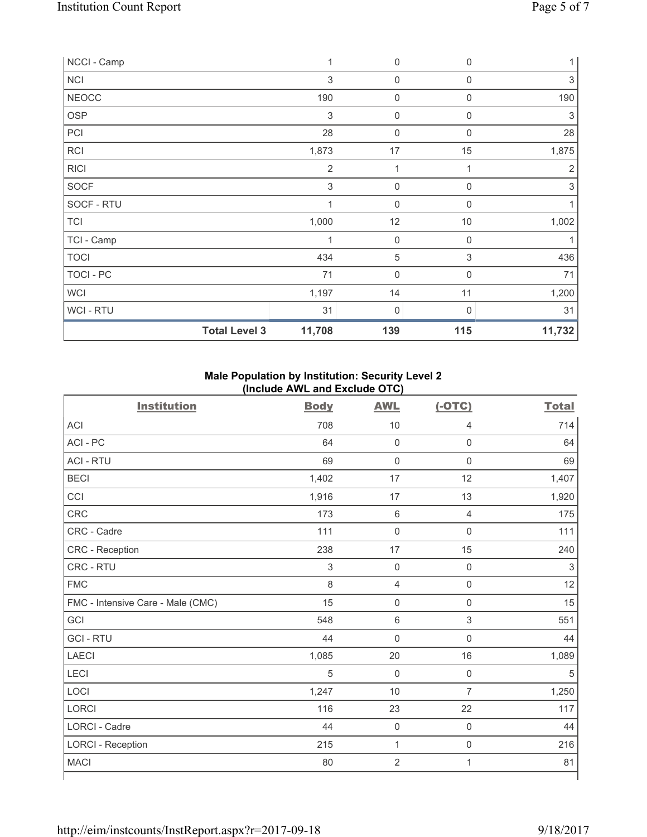| NCCI - Camp  |                      | 1              | 0           | $\mathbf 0$      | $\mathbf{1}$              |
|--------------|----------------------|----------------|-------------|------------------|---------------------------|
| <b>NCI</b>   |                      | 3              | $\mathbf 0$ | 0                | 3                         |
| <b>NEOCC</b> |                      | 190            | $\mathbf 0$ | 0                | 190                       |
| <b>OSP</b>   |                      | $\sqrt{3}$     | $\mathbf 0$ | 0                | 3                         |
| PCI          |                      | 28             | 0           | $\boldsymbol{0}$ | 28                        |
| RCI          |                      | 1,873          | 17          | 15               | 1,875                     |
| <b>RICI</b>  |                      | $\overline{2}$ | 1           |                  | 2                         |
| SOCF         |                      | 3              | $\mathbf 0$ | $\mathbf 0$      | $\ensuremath{\mathsf{3}}$ |
| SOCF - RTU   |                      | 1              | $\mathbf 0$ | $\Omega$         |                           |
| <b>TCI</b>   |                      | 1,000          | 12          | 10               | 1,002                     |
| TCI - Camp   |                      | 1              | $\pmb{0}$   | $\mathbf 0$      |                           |
| <b>TOCI</b>  |                      | 434            | 5           | 3                | 436                       |
| TOCI - PC    |                      | 71             | $\mathbf 0$ | 0                | 71                        |
| <b>WCI</b>   |                      | 1,197          | 14          | 11               | 1,200                     |
| WCI - RTU    |                      | 31             | 0           | $\mathbf{0}$     | 31                        |
|              | <b>Total Level 3</b> | 11,708         | 139         | 115              | 11,732                    |

# **Male Population by Institution: Security Level 2 (Include AWL and Exclude OTC)**

| <b>Institution</b>                | <b>Body</b> | <b>AWL</b>          | $(-OTC)$            | <b>Total</b> |
|-----------------------------------|-------------|---------------------|---------------------|--------------|
| <b>ACI</b>                        | 708         | 10                  | 4                   | 714          |
| ACI - PC                          | 64          | $\mathsf{O}\xspace$ | $\mathsf{O}\xspace$ | 64           |
| <b>ACI - RTU</b>                  | 69          | $\mathsf{O}\xspace$ | $\mathbf 0$         | 69           |
| <b>BECI</b>                       | 1,402       | 17                  | 12                  | 1,407        |
| CCI                               | 1,916       | 17                  | 13                  | 1,920        |
| <b>CRC</b>                        | 173         | $\,6\,$             | $\overline{4}$      | 175          |
| CRC - Cadre                       | 111         | $\mathsf{O}\xspace$ | $\mathsf{O}\xspace$ | 111          |
| <b>CRC</b> - Reception            | 238         | 17                  | 15                  | 240          |
| CRC - RTU                         | $\sqrt{3}$  | $\mathbf 0$         | $\mathsf{O}\xspace$ | $\sqrt{3}$   |
| <b>FMC</b>                        | 8           | $\overline{4}$      | $\mathsf{O}\xspace$ | 12           |
| FMC - Intensive Care - Male (CMC) | 15          | $\mathsf{O}\xspace$ | $\mathsf{O}\xspace$ | 15           |
| GCI                               | 548         | $\,6\,$             | $\mathsf 3$         | 551          |
| <b>GCI - RTU</b>                  | 44          | $\mathbf 0$         | $\mathbf 0$         | 44           |
| <b>LAECI</b>                      | 1,085       | 20                  | 16                  | 1,089        |
| LECI                              | 5           | $\mathbf 0$         | $\mathsf 0$         | 5            |
| LOCI                              | 1,247       | 10                  | $\overline{7}$      | 1,250        |
| <b>LORCI</b>                      | 116         | 23                  | 22                  | 117          |
| <b>LORCI - Cadre</b>              | 44          | $\mathsf{O}\xspace$ | $\mathsf 0$         | 44           |
| <b>LORCI - Reception</b>          | 215         | $\mathbf 1$         | $\mathsf{O}\xspace$ | 216          |
| <b>MACI</b>                       | 80          | $\overline{2}$      | 1                   | 81           |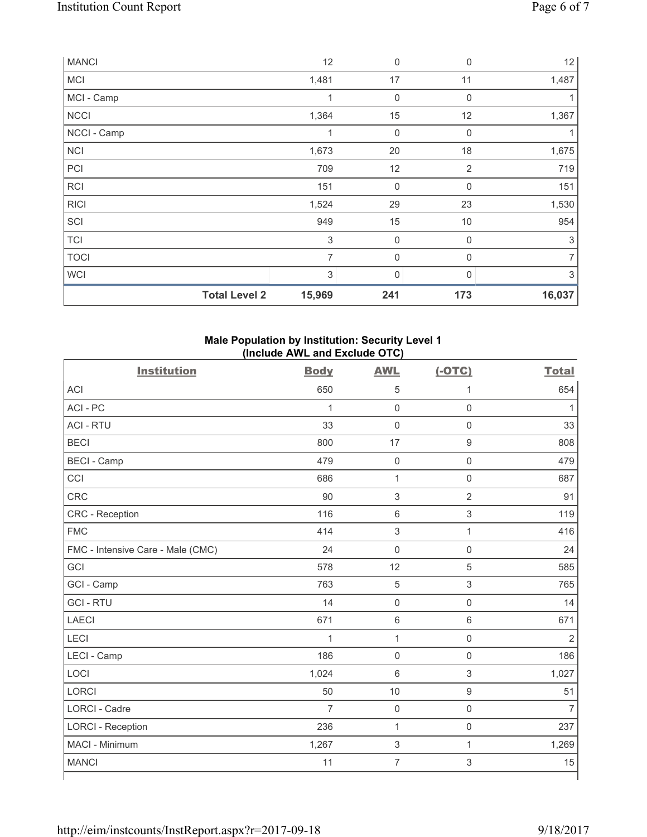| <b>MANCI</b>         | 12                        | $\mathbf 0$ | $\mathbf 0$      | 12             |
|----------------------|---------------------------|-------------|------------------|----------------|
| <b>MCI</b>           | 1,481                     | 17          | 11               | 1,487          |
| MCI - Camp           | 1                         | 0           | $\mathbf 0$      |                |
| <b>NCCI</b>          | 1,364                     | 15          | 12               | 1,367          |
| NCCI - Camp          | 1                         | $\mathbf 0$ | $\mathbf 0$      |                |
| <b>NCI</b>           | 1,673                     | 20          | 18               | 1,675          |
| PCI                  | 709                       | 12          | $\overline{2}$   | 719            |
| RCI                  | 151                       | $\mathbf 0$ | $\boldsymbol{0}$ | 151            |
| <b>RICI</b>          | 1,524                     | 29          | 23               | 1,530          |
| SCI                  | 949                       | 15          | 10               | 954            |
| <b>TCI</b>           | $\ensuremath{\mathsf{3}}$ | $\mathbf 0$ | $\mathbf 0$      | 3              |
| <b>TOCI</b>          | $\overline{7}$            | $\mathbf 0$ | 0                | $\overline{7}$ |
| <b>WCI</b>           | 3                         | 0           | 0                | 3              |
| <b>Total Level 2</b> | 15,969                    | 241         | 173              | 16,037         |

# **Male Population by Institution: Security Level 1 (Include AWL and Exclude OTC)**

| <b>Institution</b>                | <b>Body</b>    | <b>AWL</b>                | $(-OTC)$                  | <b>Total</b>   |
|-----------------------------------|----------------|---------------------------|---------------------------|----------------|
| <b>ACI</b>                        | 650            | 5                         | 1                         | 654            |
| ACI-PC                            | $\mathbf{1}$   | $\mathbf 0$               | $\mathsf 0$               | 1              |
| <b>ACI - RTU</b>                  | 33             | $\mathbf 0$               | $\mathbf 0$               | 33             |
| <b>BECI</b>                       | 800            | 17                        | $\mathsf 9$               | 808            |
| <b>BECI - Camp</b>                | 479            | $\mathbf 0$               | $\mathsf{O}\xspace$       | 479            |
| CCI                               | 686            | $\mathbf{1}$              | $\mathbf 0$               | 687            |
| <b>CRC</b>                        | 90             | $\sqrt{3}$                | $\overline{2}$            | 91             |
| <b>CRC</b> - Reception            | 116            | $\,6\,$                   | $\ensuremath{\mathsf{3}}$ | 119            |
| <b>FMC</b>                        | 414            | $\mathbf{3}$              | $\mathbf{1}$              | 416            |
| FMC - Intensive Care - Male (CMC) | 24             | $\mathsf{O}\xspace$       | $\mathsf 0$               | 24             |
| GCI                               | 578            | 12                        | 5                         | 585            |
| GCI - Camp                        | 763            | $\sqrt{5}$                | 3                         | 765            |
| <b>GCI-RTU</b>                    | 14             | $\mathsf{O}\xspace$       | $\mathsf 0$               | 14             |
| <b>LAECI</b>                      | 671            | $\,6\,$                   | $\,6\,$                   | 671            |
| LECI                              | $\mathbf{1}$   | $\mathbf 1$               | $\mathsf 0$               | $\overline{2}$ |
| LECI - Camp                       | 186            | $\mathbf 0$               | $\mathsf 0$               | 186            |
| LOCI                              | 1,024          | $\,6\,$                   | $\mathsf 3$               | 1,027          |
| <b>LORCI</b>                      | 50             | 10                        | $\mathsf 9$               | 51             |
| <b>LORCI - Cadre</b>              | $\overline{7}$ | $\mathsf{O}\xspace$       | $\mathsf 0$               | $\overline{7}$ |
| <b>LORCI - Reception</b>          | 236            | $\mathbf{1}$              | $\mathsf 0$               | 237            |
| MACI - Minimum                    | 1,267          | $\ensuremath{\mathsf{3}}$ | $\mathbf{1}$              | 1,269          |
| <b>MANCI</b>                      | 11             | $\overline{7}$            | 3                         | 15             |